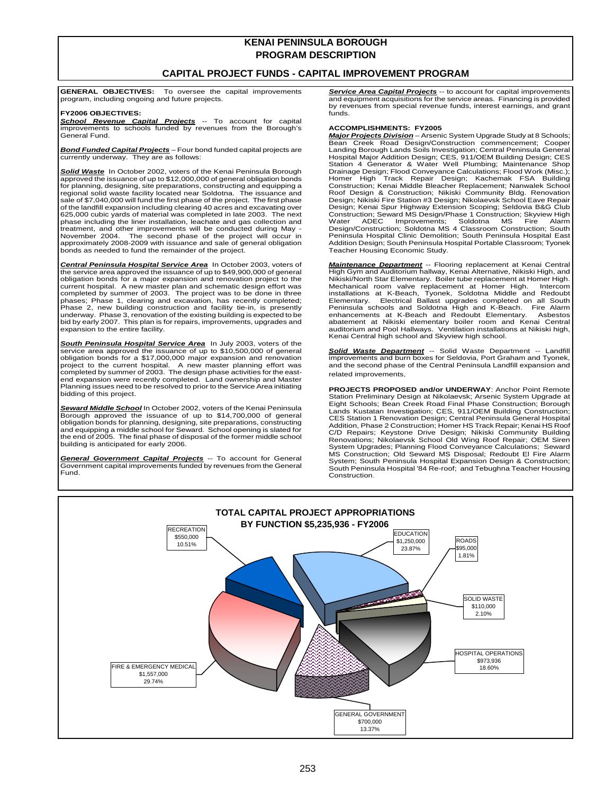# **KENAI PENINSULA BOROUGH PROGRAM DESCRIPTION**

## **CAPITAL PROJECT FUNDS - CAPITAL IMPROVEMENT PROGRAM**

**GENERAL OBJECTIVES:** To oversee the capital improvements program, including ongoing and future projects.

### **FY2006 OBJECTIVES:**

*School Revenue Capital Projects* -- To account for capital improvements to schools funded by revenues from the Borough's General Fund.

*Bond Funded Capital Projects* – Four bond funded capital projects are currently underway. They are as follows:

*Solid Waste* In October 2002, voters of the Kenai Peninsula Borough approved the issuance of up to \$12,000,000 of general obligation bonds for planning, designing, site preparations, constructing and equipping a regional solid waste facility located near Soldotna. The issuance and sale of \$7,040,000 will fund the first phase of the project. The first phase of the landfill expansion including clearing 40 acres and excavating over 625,000 cubic yards of material was completed in late 2003. The next phase including the liner installation, leachate and gas collection and treatment, and other improvements will be conducted during May - November 2004. The second phase of the project will occur in approximately 2008-2009 with issuance and sale of general obligation bonds as needed to fund the remainder of the project.

*Central Peninsula Hospital Service Area* In October 2003, voters of the service area approved the issuance of up to \$49,900,000 of general obligation bonds for a major expansion and renovation project to the current hospital. A new master plan and schematic design effort was completed by summer of 2003. The project was to be done in three phases; Phase 1, clearing and excavation, has recently completed; Phase 2, new building construction and facility tie-in, is presently underway. Phase 3, renovation of the existing building is expected to be bid by early 2007. This plan is for repairs, improvements, upgrades and expansion to the entire facility.

*South Peninsula Hospital Service Area* In July 2003, voters of the service area approved the issuance of up to \$10,500,000 of general obligation bonds for a \$17,000,000 major expansion and renovation project to the current hospital. A new master planning effort was completed by summer of 2003. The design phase activities for the eastend expansion were recently completed. Land ownership and Master Planning issues need to be resolved to prior to the Service Area initiating bidding of this project.

*Seward Middle School* In October 2002, voters of the Kenai Peninsula Borough approved the issuance of up to \$14,700,000 of general obligation bonds for planning, designing, site preparations, constructing and equipping a middle school for Seward. School opening is slated for the end of 2005. The final phase of disposal of the former middle school building is anticipated for early 2006.

*General Government Capital Projects* -- To account for General Government capital improvements funded by revenues from the General Fund.

**DEPARTMENT FUNCTION CONTROL CONTRACT SERVICE Area Capital Projects** -- to account for capital improvements and equipment acquisitions for the service areas. Financing is provided by revenues from special revenue funds, interest earnings, and grant funds.

### **ACCOMPLISHMENTS: FY2005**

*Major Projects Division* – Arsenic System Upgrade Study at 8 Schools; Bean Creek Road Design/Construction commencement; Cooper Landing Borough Lands Soils Investigation; Central Peninsula General<br>Hospital Major Addition Design; CES, 911/OEM Building Design; CES<br>Station 4 Generator & Water Well Plumbing; Maintenance Shop<br>Drainage Design; Fl Homer High Track Repair Design; Kachemak FSA Building Construction; Kenai Middle Bleacher Replacement; Nanwalek School Roof Design & Construction; Nikiski Community Bldg. Renovation Design; Nikiski Fire Station #3 Design; Nikolaevsk School Eave Repair Design; Kenai Spur Highway Extension Scoping; Seldovia B&G Club Construction; Seward MS Design/Phase 1 Construction; Skyview High Water ADEC Improvements; Soldotna MS Fire Alarm Design/Construction; Soldotna MS 4 Classroom Construction; South Peninsula Hospital Clinic Demolition; South Peninsula Hospital East Addition Design; South Peninsula Hospital Portable Classroom; Tyonek Teacher Housing Economic Study.

*Maintenance Department* -- Flooring replacement at Kenai Central High Gym and Auditorium hallway, Kenai Alternative, Nikiski High, and Nikiski/North Star Elementary. Boiler tube replacement at Homer High. Mechanical room valve replacement at Homer High. Intercom installations at K-Beach, Tyonek, Soldotna Middle and Redoubt Elementary. Electrical Ballast upgrades completed on all South Peninsula schools and Soldotna High and K-Beach. Fire Alarm enhancements at K-Beach and Redoubt Elementary. Asbestos abatement at Nikiski elementary boiler room and Ḱenai Central<br>auditorium and Pool Hallways. Ventilation installations at Nikiski high,<br>Kenai Central high school and Skyview high school.

*Solid Waste Department* -- Solid Waste Department -- Landfill improvements and burn boxes for Seldovia, Port Graham and Tyonek, and the second phase of the Central Peninsula Landfill expansion and related improvements.

**PROJECTS PROPOSED and/or UNDERWAY**: Anchor Point Remote Station Preliminary Design at Nikolaevsk; Arsenic System Upgrade at Eight Schools; Bean Creek Road Final Phase Construction; Borough Lands Kustatan Investigation; CES, 911/OEM Building Construction; CES Station 1 Renovation Design; Central Peninsula General Hospital Addition, Phase 2 Construction; Homer HS Track Repair; Kenai HS Roof C/D Repairs; Keystone Drive Design; Nikiski Community Building Renovations; Nikolaevsk School Old Wing Roof Repair; OEM Siren System Upgrades; Planning Flood Conveyance Calculations; Seward MS Construction; Old Seward MS Disposal; Redoubt El Fire Alarm System; South Peninsula Hospital Expansion Design & Construction; South Peninsula Hospital '84 Re-roof; and Tebughna Teacher Housing Construction.

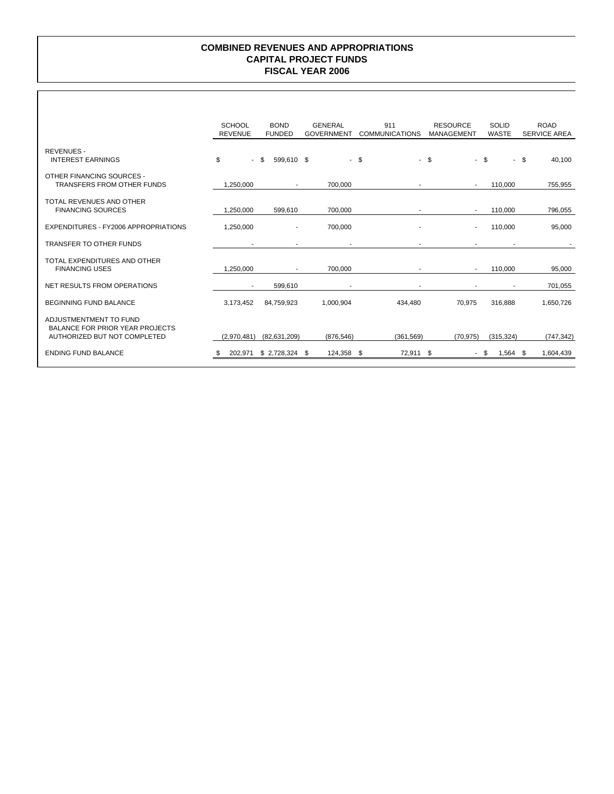## **FISCAL YEAR 2006 COMBINED REVENUES AND APPROPRIATIONS CAPITAL PROJECT FUNDS**

|                                                                                                  | <b>SCHOOL</b><br><b>REVENUE</b> | <b>BOND</b><br><b>FUNDED</b> | <b>GENERAL</b><br>911<br><b>RESOURCE</b><br><b>COMMUNICATIONS</b><br><b>GOVERNMENT</b> |            | <b>MANAGEMENT</b>        | <b>SOLID</b><br><b>WASTE</b> | <b>ROAD</b><br><b>SERVICE AREA</b> |
|--------------------------------------------------------------------------------------------------|---------------------------------|------------------------------|----------------------------------------------------------------------------------------|------------|--------------------------|------------------------------|------------------------------------|
| <b>REVENUES -</b><br><b>INTEREST EARNINGS</b>                                                    | \$<br>$\blacksquare$            | \$<br>599.610 \$             |                                                                                        | - \$       | - \$                     | $-$ \$                       | - \$<br>40,100                     |
| OTHER FINANCING SOURCES -<br><b>TRANSFERS FROM OTHER FUNDS</b>                                   | 1.250.000                       | $\sim$                       | 700.000                                                                                |            | $\overline{\phantom{a}}$ | 110,000                      | 755,955                            |
| TOTAL REVENUES AND OTHER<br><b>FINANCING SOURCES</b>                                             | 1.250.000                       | 599,610                      | 700.000                                                                                |            | ÷                        | 110,000                      | 796,055                            |
| EXPENDITURES - FY2006 APPROPRIATIONS                                                             | 1,250,000                       | $\blacksquare$               | 700,000                                                                                |            | $\overline{\phantom{a}}$ | 110,000                      | 95,000                             |
| <b>TRANSFER TO OTHER FUNDS</b>                                                                   |                                 |                              |                                                                                        |            |                          |                              |                                    |
| TOTAL EXPENDITURES AND OTHER<br><b>FINANCING USES</b>                                            | 1,250,000                       | $\sim$                       | 700.000                                                                                |            | $\blacksquare$           | 110,000                      | 95,000                             |
| <b>NET RESULTS FROM OPERATIONS</b>                                                               | $\blacksquare$                  | 599,610                      |                                                                                        |            |                          |                              | 701,055                            |
| <b>BEGINNING FUND BALANCE</b>                                                                    | 3,173,452                       | 84,759,923                   | 1,000,904                                                                              | 434,480    | 70,975                   | 316,888                      | 1,650,726                          |
| ADJUSTMENTMENT TO FUND<br><b>BALANCE FOR PRIOR YEAR PROJECTS</b><br>AUTHORIZED BUT NOT COMPLETED | (2,970,481)                     | (82, 631, 209)               | (876, 546)                                                                             | (361, 569) | (70, 975)                | (315, 324)                   | (747, 342)                         |
| <b>ENDING FUND BALANCE</b>                                                                       | 202,971                         | $$2,728,324$ \;              | 124,358 \$                                                                             | 72,911 \$  |                          | $1,564$ \$<br>- \$           | 1,604,439                          |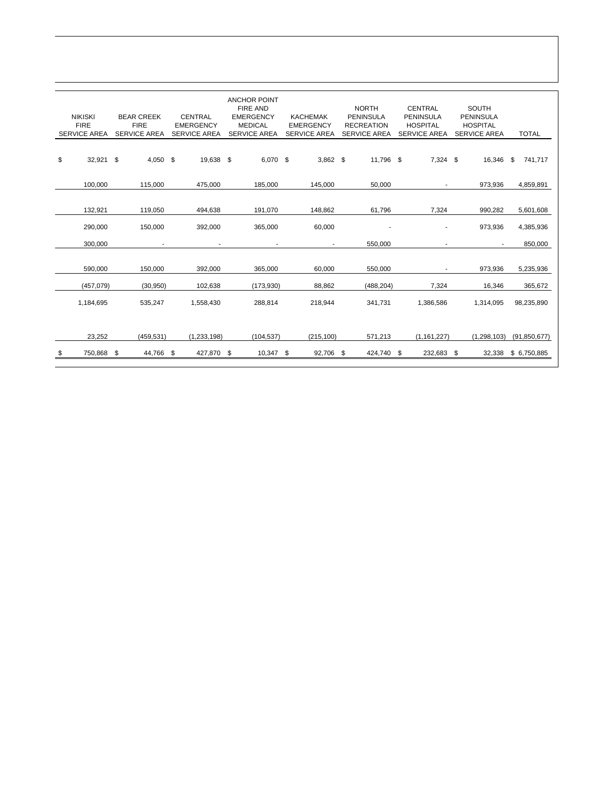| <b>NIKISKI</b><br><b>FIRE</b><br><b>SERVICE AREA</b> | <b>BEAR CREEK</b><br><b>FIRE</b><br><b>SERVICE AREA</b> | <b>CENTRAL</b><br><b>EMERGENCY</b><br><b>SERVICE AREA</b> | <b>ANCHOR POINT</b><br><b>FIRE AND</b><br><b>EMERGENCY</b><br><b>MEDICAL</b><br><b>SERVICE AREA</b> | <b>KACHEMAK</b><br><b>EMERGENCY</b><br><b>SERVICE AREA</b> | <b>NORTH</b><br><b>PENINSULA</b><br><b>RECREATION</b><br><b>SERVICE AREA</b> | <b>CENTRAL</b><br><b>PENINSULA</b><br><b>HOSPITAL</b><br><b>SERVICE AREA</b> | <b>SOUTH</b><br><b>PENINSULA</b><br><b>HOSPITAL</b><br><b>SERVICE AREA</b> | <b>TOTAL</b>   |
|------------------------------------------------------|---------------------------------------------------------|-----------------------------------------------------------|-----------------------------------------------------------------------------------------------------|------------------------------------------------------------|------------------------------------------------------------------------------|------------------------------------------------------------------------------|----------------------------------------------------------------------------|----------------|
| \$<br>32,921                                         | \$<br>$4,050$ \$                                        | 19,638 \$                                                 | 6,070 \$                                                                                            | $3,862$ \$                                                 | 11,796 \$                                                                    | 7,324 \$                                                                     | 16,346                                                                     | \$.<br>741,717 |
| 100,000                                              | 115,000                                                 | 475,000                                                   | 185,000                                                                                             | 145,000                                                    | 50,000                                                                       |                                                                              | 973,936                                                                    | 4,859,891      |
|                                                      |                                                         |                                                           |                                                                                                     |                                                            |                                                                              |                                                                              |                                                                            |                |
| 132,921                                              | 119,050                                                 | 494,638                                                   | 191,070                                                                                             | 148,862                                                    | 61,796                                                                       | 7,324                                                                        | 990,282                                                                    | 5,601,608      |
| 290,000                                              | 150,000                                                 | 392,000                                                   | 365,000                                                                                             | 60,000                                                     |                                                                              |                                                                              | 973,936                                                                    | 4,385,936      |
| 300,000                                              | $\blacksquare$                                          |                                                           |                                                                                                     | ٠.                                                         | 550,000                                                                      | $\blacksquare$                                                               |                                                                            | 850,000        |
| 590,000                                              | 150,000                                                 | 392,000                                                   | 365,000                                                                                             | 60,000                                                     | 550,000                                                                      |                                                                              | 973,936                                                                    | 5,235,936      |
| (457,079)                                            | (30, 950)                                               | 102,638                                                   | (173, 930)                                                                                          | 88.862                                                     | (488, 204)                                                                   | 7,324                                                                        | 16,346                                                                     | 365,672        |
| 1,184,695                                            | 535,247                                                 | 1,558,430                                                 | 288,814                                                                                             | 218,944                                                    | 341,731                                                                      | 1,386,586                                                                    | 1,314,095                                                                  | 98,235,890     |
|                                                      |                                                         |                                                           |                                                                                                     |                                                            |                                                                              |                                                                              |                                                                            |                |
| 23,252                                               | (459, 531)                                              | (1,233,198)                                               | (104, 537)                                                                                          | (215, 100)                                                 | 571,213                                                                      | (1, 161, 227)                                                                | (1,298,103)                                                                | (91, 850, 677) |
| \$<br>750,868                                        | \$<br>44,766                                            | \$<br>427,870                                             | \$<br>10,347                                                                                        | \$<br>92,706                                               | \$<br>424,740                                                                | \$<br>232,683                                                                | \$<br>32,338                                                               | \$ 6,750,885   |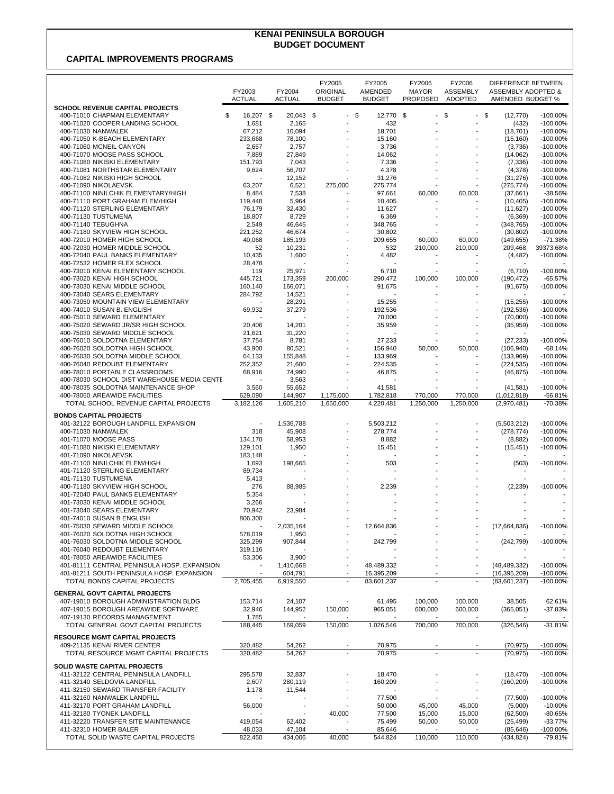## **KENAI PENINSULA BOROUGH BUDGET DOCUMENT**

## **CAPITAL IMPROVEMENTS PROGRAMS**

|                                                                  | FY2003<br>ACTUAL         | FY2004<br><b>ACTUAL</b> | FY2005<br>ORIGINAL<br><b>BUDGET</b> | FY2005<br><b>AMENDED</b><br><b>BUDGET</b> | FY2006<br><b>MAYOR</b><br><b>PROPOSED</b> | FY2006<br><b>ASSEMBLY</b><br><b>ADOPTED</b> | DIFFERENCE BETWEEN<br><b>ASSEMBLY ADOPTED &amp;</b><br>AMENDED BUDGET % |                            |
|------------------------------------------------------------------|--------------------------|-------------------------|-------------------------------------|-------------------------------------------|-------------------------------------------|---------------------------------------------|-------------------------------------------------------------------------|----------------------------|
| <b>SCHOOL REVENUE CAPITAL PROJECTS</b>                           |                          |                         |                                     |                                           |                                           |                                             |                                                                         |                            |
| 400-71010 CHAPMAN ELEMENTARY<br>400-71020 COOPER LANDING SCHOOL  | \$<br>16,207 \$<br>1,681 | 20,043<br>2,165         | -\$<br>$\sim$                       | \$<br>12,770<br>432                       | -\$                                       | \$<br>$\overline{a}$                        | \$<br>(12, 770)<br>(432)                                                | $-100.00\%$<br>$-100.00\%$ |
| 400-71030 NANWALEK                                               | 67,212                   | 10,094                  |                                     | 18,701                                    |                                           |                                             | (18, 701)                                                               | $-100.00%$                 |
| 400-71050 K-BEACH ELEMENTARY                                     | 233,668                  | 78,100                  |                                     | 15,160                                    |                                           |                                             | (15, 160)                                                               | $-100.00%$                 |
| 400-71060 MCNEIL CANYON                                          | 2,657                    | 2,757                   |                                     | 3,736                                     |                                           |                                             | (3,736)                                                                 | $-100.00%$                 |
| 400-71070 MOOSE PASS SCHOOL                                      | 7,889                    | 27,849                  |                                     | 14,062                                    |                                           |                                             | (14,062)                                                                | $-100.00\%$                |
| 400-71080 NIKISKI ELEMENTARY                                     | 151,793                  | 7,043                   |                                     | 7,336                                     |                                           |                                             | (7, 336)                                                                | $-100.00\%$                |
| 400-71081 NORTHSTAR ELEMENTARY<br>400-71082 NIKISKI HIGH SCHOOL  | 9,624                    | 56,707                  |                                     | 4,378<br>31,276                           |                                           |                                             | (4,378)                                                                 | $-100.00\%$<br>$-100.00%$  |
| 400-71090 NIKOLAEVSK                                             | 63,207                   | 12,152<br>6,521         | 275,000                             | 275,774                                   |                                           |                                             | (31, 276)<br>(275, 774)                                                 | $-100.00%$                 |
| 400-71100 NINILCHIK ELEMENTARY/HIGH                              | 8,484                    | 7,538                   |                                     | 97,661                                    | 60,000                                    | 60,000                                      | (37,661)                                                                | $-38.56%$                  |
| 400-71110 PORT GRAHAM ELEM/HIGH                                  | 119,448                  | 5,964                   |                                     | 10,405                                    |                                           |                                             | (10, 405)                                                               | $-100.00%$                 |
| 400-71120 STERLING ELEMENTARY                                    | 76,179                   | 32,430                  |                                     | 11,627                                    |                                           |                                             | (11, 627)                                                               | $-100.00\%$                |
| 400-71130 TUSTUMENA                                              | 18,807                   | 8,729                   |                                     | 6,369                                     |                                           |                                             | (6, 369)                                                                | $-100.00\%$                |
| 400-71140 TEBUGHNA                                               | 2,549                    | 46,645                  |                                     | 348,765                                   |                                           |                                             | (348, 765)                                                              | $-100.00\%$                |
| 400-71180 SKYVIEW HIGH SCHOOL                                    | 221,252                  | 46,674                  |                                     | 30,802                                    |                                           |                                             | (30, 802)                                                               | $-100.00%$                 |
| 400-72010 HOMER HIGH SCHOOL                                      | 40,068                   | 185,193                 |                                     | 209,655                                   | 60,000                                    | 60,000                                      | (149, 655)                                                              | $-71.38%$                  |
| 400-72030 HOMER MIDDLE SCHOOL                                    | 52                       | 10,231                  |                                     | 532                                       | 210,000                                   | 210,000                                     | 209,468                                                                 | 39373.68%                  |
| 400-72040 PAUL BANKS ELEMENTARY                                  | 10,435                   | 1,600                   |                                     | 4,482                                     |                                           |                                             | (4, 482)                                                                | $-100.00\%$                |
| 400-72532 HOMER FLEX SCHOOL                                      | 28,478                   |                         |                                     |                                           |                                           |                                             |                                                                         |                            |
| 400-73010 KENAI ELEMENTARY SCHOOL<br>400-73020 KENAI HIGH SCHOOL | 119                      | 25,971<br>173,359       | 200,000                             | 6,710                                     | 100,000                                   |                                             | (6, 710)<br>(190, 472)                                                  | $-100.00\%$<br>$-65.57%$   |
| 400-73030 KENAI MIDDLE SCHOOL                                    | 445,721<br>160,140       | 166,071                 |                                     | 290,472<br>91,675                         |                                           | 100,000                                     | (91, 675)                                                               | -100.00%                   |
| 400-73040 SEARS ELEMENTARY                                       | 284,792                  | 14,521                  |                                     |                                           | $\overline{\phantom{a}}$                  | $\overline{\phantom{a}}$                    |                                                                         |                            |
| 400-73050 MOUNTAIN VIEW ELEMENTARY                               |                          | 28,291                  |                                     | 15.255                                    |                                           |                                             | (15, 255)                                                               | $-100.00\%$                |
| 400-74010 SUSAN B. ENGLISH                                       | 69,932                   | 37,279                  |                                     | 192,536                                   |                                           |                                             | (192, 536)                                                              | -100.00%                   |
| 400-75010 SEWARD ELEMENTARY                                      |                          |                         |                                     | 70,000                                    |                                           |                                             | (70,000)                                                                | $-100.00\%$                |
| 400-75020 SEWARD JR/SR HIGH SCHOOL                               | 20,406                   | 14,201                  |                                     | 35,959                                    |                                           |                                             | (35, 959)                                                               | $-100.00%$                 |
| 400-75030 SEWARD MIDDLE SCHOOL                                   | 21,621                   | 31,220                  |                                     |                                           |                                           |                                             |                                                                         |                            |
| 400-76010 SOLDOTNA ELEMENTARY                                    | 37,754                   | 8,781                   |                                     | 27,233                                    |                                           |                                             | (27, 233)                                                               | $-100.00%$                 |
| 400-76020 SOLDOTNA HIGH SCHOOL                                   | 43,900                   | 80,521                  |                                     | 156,940                                   | 50,000                                    | 50,000                                      | (106, 940)                                                              | $-68.14%$                  |
| 400-76030 SOLDOTNA MIDDLE SCHOOL                                 | 64,133                   | 155,848                 |                                     | 133.969                                   |                                           |                                             | (133,969)                                                               | $-100.00\%$                |
| 400-76040 REDOUBT ELEMENTARY                                     | 252,352                  | 21,600                  |                                     | 224,535                                   |                                           |                                             | (224, 535)                                                              | -100.00%                   |
| 400-78010 PORTABLE CLASSROOMS                                    | 68,916                   | 74,990                  |                                     | 46,875                                    |                                           |                                             | (46, 875)                                                               | $-100.00%$                 |
| 400-78030 SCHOOL DIST WAREHOUSE MEDIA CENTE                      |                          | 3,563                   |                                     |                                           |                                           |                                             |                                                                         |                            |
| 400-78035 SOLDOTNA MAINTENANCE SHOP                              | 3,560                    | 55,652                  |                                     | 41,581                                    |                                           |                                             | (41, 581)                                                               | $-100.00\%$                |
| 400-78050 AREAWIDE FACILITIES                                    | 629.090                  | 144,907                 | 1,175,000                           | 1,782,818                                 | 770,000                                   | 770,000                                     | (1,012,818)                                                             | $-56.81%$                  |
| TOTAL SCHOOL REVENUE CAPITAL PROJECTS                            | 3,182,126                | 1,605,210               | 1,650,000                           | 4,220,481                                 | 1,250,000                                 | 1,250,000                                   | (2,970,481)                                                             | $-70.38%$                  |
| <b>BONDS CAPITAL PROJECTS</b>                                    |                          |                         |                                     |                                           |                                           |                                             |                                                                         |                            |
| 401-32122 BOROUGH LANDFILL EXPANSION                             |                          | 1,536,788               |                                     | 5,503,212                                 |                                           |                                             | (5,503,212)                                                             | $-100.00\%$                |
| 400-71030 NANWALEK                                               | 318                      | 45,908                  |                                     | 278,774                                   |                                           |                                             | (278, 774)                                                              | $-100.00\%$                |
| 401-71070 MOOSE PASS                                             | 134,170                  | 58,953                  |                                     | 8,882                                     |                                           |                                             | (8,882)                                                                 | $-100.00\%$                |
| 401-71080 NIKISKI ELEMENTARY                                     | 129,101                  | 1,950                   |                                     | 15,451                                    |                                           |                                             | (15, 451)                                                               | $-100.00%$                 |
| 401-71090 NIKOLAEVSK                                             | 183,148                  |                         |                                     |                                           |                                           |                                             |                                                                         |                            |
| 401-71100 NINILCHIK ELEM/HIGH                                    | 1,693                    | 198,665                 |                                     | 503                                       |                                           |                                             | (503)                                                                   | $-100.00\%$                |
| 401-71120 STERLING ELEMENTARY                                    | 89,734                   |                         |                                     | ÷,                                        |                                           |                                             | $\overline{\phantom{a}}$                                                |                            |
| 401-71130 TUSTUMENA                                              | 5,413                    |                         |                                     |                                           |                                           |                                             |                                                                         |                            |
| 400-71180 SKYVIEW HIGH SCHOOL                                    | 276                      | 88,985                  |                                     | 2,239                                     |                                           |                                             | (2, 239)                                                                | -100.00%                   |
| 401-72040 PAUL BANKS ELEMENTARY                                  | 5,354                    |                         |                                     |                                           |                                           |                                             |                                                                         |                            |
| 401-73030 KENAI MIDDLE SCHOOL                                    | 3,266                    |                         |                                     |                                           |                                           |                                             |                                                                         |                            |
| 401-73040 SEARS ELEMENTARY                                       | 70,942                   | 23,984                  |                                     |                                           |                                           | $\overline{\phantom{a}}$                    |                                                                         |                            |
| 401-74010 SUSAN B ENGLISH<br>401-75030 SEWARD MIDDLE SCHOOL      | 806,300                  | 2,035,164               |                                     | 12,664,836                                |                                           |                                             | (12,664,836)                                                            | -100.00%                   |
| 401-76020 SOLDOTNA HIGH SCHOOL                                   | 578,019                  | 1,950                   |                                     |                                           |                                           |                                             |                                                                         |                            |
| 401-76030 SOLDOTNA MIDDLE SCHOOL                                 | 325,299                  | 907,844                 |                                     | 242,799                                   |                                           |                                             | (242, 799)                                                              | $-100.00\%$                |
| 401-76040 REDOUBT ELEMENTARY                                     | 319,116                  |                         |                                     |                                           |                                           |                                             |                                                                         |                            |
| 401-78050 AREAWIDE FACILITIES                                    | 53,306                   | 3,900                   |                                     |                                           |                                           |                                             |                                                                         |                            |
| 401-81111 CENTRAL PENINSULA HOSP. EXPANSION                      |                          | 1,410,668               |                                     | 48,489,332                                |                                           |                                             | (48, 489, 332)                                                          | $-100.00\%$                |
| 401-81211 SOUTH PENINSULA HOSP, EXPANSION                        |                          | 604.791                 |                                     | 16,395,209                                |                                           | $\blacksquare$                              | (16, 395, 209)                                                          | $-100.00\%$                |
| TOTAL BONDS CAPITAL PROJECTS                                     | 2,705,455                | 6,919,550               | $\sim$                              | 83,601,237                                | $\overline{\phantom{a}}$                  |                                             | (83,601,237)                                                            | -100.00%                   |
| <b>GENERAL GOV'T CAPITAL PROJECTS</b>                            |                          |                         |                                     |                                           |                                           |                                             |                                                                         |                            |
| 407-19010 BOROUGH ADMINISTRATION BLDG                            | 153,714                  | 24,107                  |                                     | 61,495                                    | 100,000                                   | 100,000                                     | 38,505                                                                  | 62.61%                     |
| 407-19015 BOROUGH AREAWIDE SOFTWARE                              | 32,946                   | 144,952                 | 150,000                             | 965,051                                   | 600,000                                   | 600,000                                     | (365, 051)                                                              | $-37.83%$                  |
| 407-19130 RECORDS MANAGEMENT                                     | 1,785                    |                         |                                     |                                           |                                           |                                             |                                                                         |                            |
| TOTAL GENERAL GOVT CAPITAL PROJECTS                              | 188,445                  | 169,059                 | 150,000                             | 1,026,546                                 | 700,000                                   | 700,000                                     | (326, 546)                                                              | $-31.81%$                  |
|                                                                  |                          |                         |                                     |                                           |                                           |                                             |                                                                         |                            |
| <b>RESOURCE MGMT CAPITAL PROJECTS</b>                            |                          |                         |                                     |                                           |                                           |                                             |                                                                         |                            |
| 409-21135 KENAI RIVER CENTER                                     | 320,482                  | 54,262                  |                                     | 70,975                                    |                                           |                                             | (70, 975)                                                               | $-100.00\%$                |
| TOTAL RESOURCE MGMT CAPITAL PROJECTS                             | 320,482                  | 54,262                  |                                     | 70.975                                    |                                           |                                             | (70, 975)                                                               | -100.00%                   |
| <b>SOLID WASTE CAPITAL PROJECTS</b>                              |                          |                         |                                     |                                           |                                           |                                             |                                                                         |                            |
| 411-32122 CENTRAL PENINSULA LANDFILL                             | 295,578                  | 32,837                  |                                     | 18,470                                    |                                           |                                             | (18, 470)                                                               | $-100.00\%$                |
| 411-32140 SELDOVIA LANDFILL                                      | 2,607                    | 280,119                 |                                     | 160,209                                   |                                           |                                             | (160, 209)                                                              | $-100.00%$                 |
| 411-32150 SEWARD TRANSFER FACILITY                               | 1,178                    | 11,544                  |                                     |                                           |                                           |                                             |                                                                         |                            |
| 411-32160 NANWALEK LANDFILL                                      |                          |                         |                                     | 77,500                                    |                                           |                                             | (77,500)                                                                | -100.00%                   |
| 411-32170 PORT GRAHAM LANDFILL                                   | 56,000                   |                         |                                     | 50,000                                    | 45,000                                    | 45,000                                      | (5,000)                                                                 | $-10.00%$                  |
| 411-32180 TYONEK LANDFILL                                        |                          |                         | 40,000                              | 77,500                                    | 15,000                                    | 15,000                                      | (62, 500)                                                               | $-80.65%$                  |
| 411-32220 TRANSFER SITE MAINTENANCE                              | 419,054                  | 62,402                  |                                     | 75,499                                    | 50,000                                    | 50,000                                      | (25, 499)                                                               | $-33.77%$                  |
| 411-32310 HOMER BALER                                            | 48,033                   | 47,104                  |                                     | 85,646                                    |                                           |                                             | (85, 646)                                                               | $-100.00\%$                |
| TOTAL SOLID WASTE CAPITAL PROJECTS                               | 822,450                  | 434,006                 | 40,000                              | 544,824                                   | 110,000                                   | 110,000                                     | (434, 824)                                                              | $-79.81%$                  |